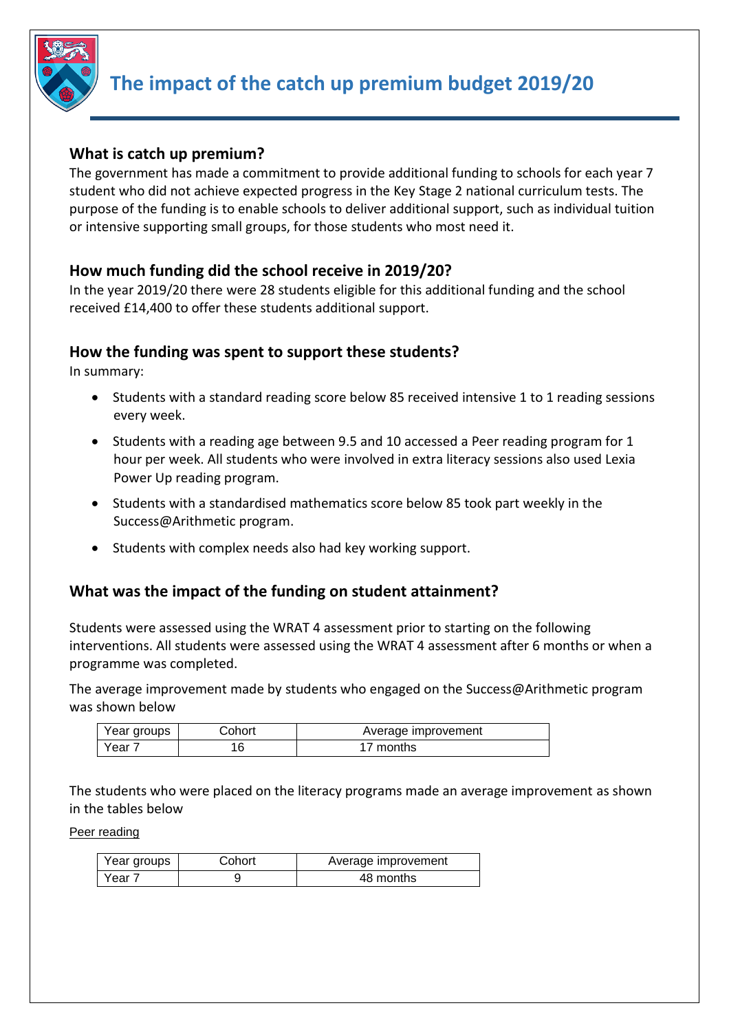

# **The impact of the catch up premium budget 2019/20**

#### **What is catch up premium?**

The government has made a commitment to provide additional funding to schools for each year 7 student who did not achieve expected progress in the Key Stage 2 national curriculum tests. The purpose of the funding is to enable schools to deliver additional support, such as individual tuition or intensive supporting small groups, for those students who most need it.

#### **How much funding did the school receive in 2019/20?**

In the year 2019/20 there were 28 students eligible for this additional funding and the school received £14,400 to offer these students additional support.

#### **How the funding was spent to support these students?**

In summary:

- Students with a standard reading score below 85 received intensive 1 to 1 reading sessions every week.
- Students with a reading age between 9.5 and 10 accessed a Peer reading program for 1 hour per week. All students who were involved in extra literacy sessions also used Lexia Power Up reading program.
- Students with a standardised mathematics score below 85 took part weekly in the Success@Arithmetic program.
- Students with complex needs also had key working support.

### **What was the impact of the funding on student attainment?**

Students were assessed using the WRAT 4 assessment prior to starting on the following interventions. All students were assessed using the WRAT 4 assessment after 6 months or when a programme was completed.

The average improvement made by students who engaged on the Success@Arithmetic program was shown below

| Year groups | Cohort | Average improvement |
|-------------|--------|---------------------|
| Year '      |        | 17 months           |

The students who were placed on the literacy programs made an average improvement as shown in the tables below

Peer reading

| Year groups | Cohort | Average improvement |
|-------------|--------|---------------------|
| Year 7      |        | 48 months           |